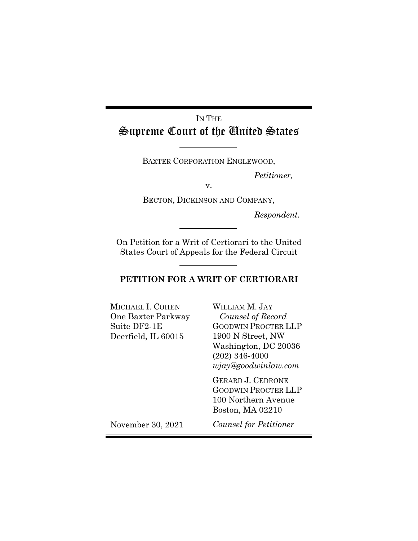# IN THE Supreme Court of the United States

BAXTER CORPORATION ENGLEWOOD,

*Petitioner,*

v.

BECTON, DICKINSON AND COMPANY,

*Respondent.*

On Petition for a Writ of Certiorari to the United States Court of Appeals for the Federal Circuit

## **PETITION FOR A WRIT OF CERTIORARI**

| MICHAEL I. COHEN<br>One Baxter Parkway<br>Suite DF2-1E<br>Deerfield, IL 60015 | WILLIAM M. JAY<br>Counsel of Record<br><b>GOODWIN PROCTER LLP</b><br>1900 N Street, NW<br>Washington, DC 20036<br>$(202)$ 346-4000<br>wjay@goodwindaw.com |
|-------------------------------------------------------------------------------|-----------------------------------------------------------------------------------------------------------------------------------------------------------|
|                                                                               | <b>GERARD J. CEDRONE</b><br><b>GOODWIN PROCTER LLP</b><br>100 Northern Avenue<br>Boston, MA 02210                                                         |
| November 30, 2021                                                             | <i>Counsel for Petitioner</i>                                                                                                                             |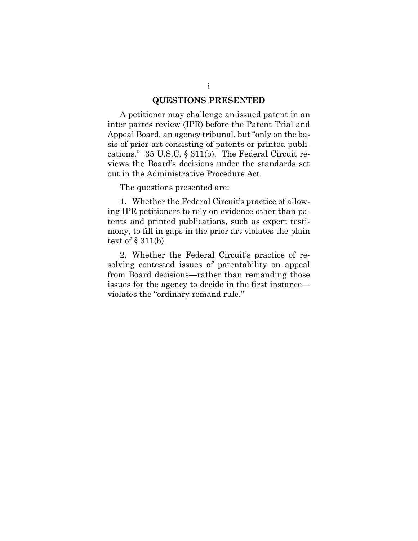#### **QUESTIONS PRESENTED**

A petitioner may challenge an issued patent in an inter partes review (IPR) before the Patent Trial and Appeal Board, an agency tribunal, but "only on the basis of prior art consisting of patents or printed publications." 35 U.S.C. § 311(b). The Federal Circuit reviews the Board's decisions under the standards set out in the Administrative Procedure Act.

The questions presented are:

1. Whether the Federal Circuit's practice of allowing IPR petitioners to rely on evidence other than patents and printed publications, such as expert testimony, to fill in gaps in the prior art violates the plain text of  $\S$  311(b).

2. Whether the Federal Circuit's practice of resolving contested issues of patentability on appeal from Board decisions—rather than remanding those issues for the agency to decide in the first instance violates the "ordinary remand rule."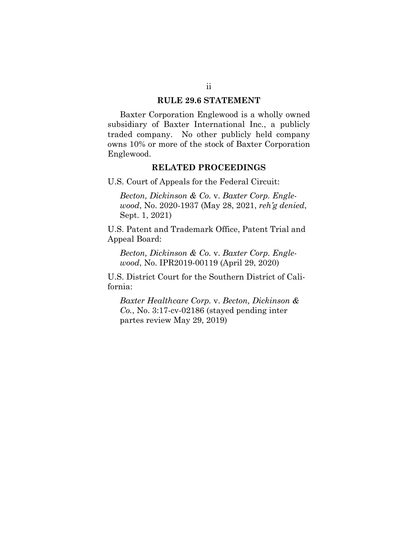#### **RULE 29.6 STATEMENT**

Baxter Corporation Englewood is a wholly owned subsidiary of Baxter International Inc., a publicly traded company. No other publicly held company owns 10% or more of the stock of Baxter Corporation Englewood.

#### **RELATED PROCEEDINGS**

U.S. Court of Appeals for the Federal Circuit:

*Becton, Dickinson & Co.* v. *Baxter Corp. Englewood*, No. 2020-1937 (May 28, 2021, *reh'g denied*, Sept. 1, 2021)

U.S. Patent and Trademark Office, Patent Trial and Appeal Board:

*Becton, Dickinson & Co.* v. *Baxter Corp. Englewood*, No. IPR2019-00119 (April 29, 2020)

U.S. District Court for the Southern District of California:

*Baxter Healthcare Corp.* v. *Becton, Dickinson & Co.*, No. 3:17-cv-02186 (stayed pending inter partes review May 29, 2019)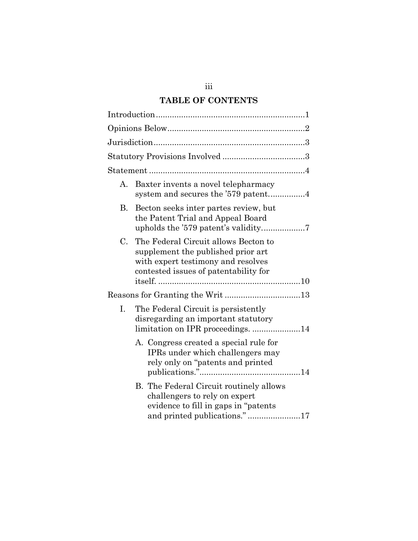# **TABLE OF CONTENTS**

| А. | Baxter invents a novel telepharmacy                                                                                                                       |
|----|-----------------------------------------------------------------------------------------------------------------------------------------------------------|
| В. | Becton seeks inter partes review, but<br>the Patent Trial and Appeal Board                                                                                |
| C. | The Federal Circuit allows Becton to<br>supplement the published prior art<br>with expert testimony and resolves<br>contested issues of patentability for |
|    | Reasons for Granting the Writ 13                                                                                                                          |
| I. | The Federal Circuit is persistently<br>disregarding an important statutory<br>limitation on IPR proceedings. 14                                           |
|    | A. Congress created a special rule for<br>IPRs under which challengers may<br>rely only on "patents and printed"                                          |
|    | B. The Federal Circuit routinely allows<br>challengers to rely on expert<br>evidence to fill in gaps in "patents"<br>and printed publications."17         |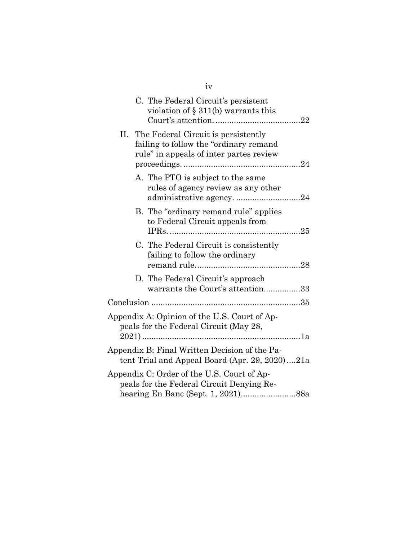| C. The Federal Circuit's persistent<br>violation of $\S 311(b)$ warrants this                                                   |                                  |
|---------------------------------------------------------------------------------------------------------------------------------|----------------------------------|
| The Federal Circuit is persistently<br>П.<br>failing to follow the "ordinary remand"<br>rule" in appeals of inter partes review |                                  |
| A. The PTO is subject to the same<br>rules of agency review as any other                                                        |                                  |
| B. The "ordinary remand rule" applies<br>to Federal Circuit appeals from                                                        |                                  |
| C. The Federal Circuit is consistently<br>failing to follow the ordinary                                                        |                                  |
| D. The Federal Circuit's approach                                                                                               | warrants the Court's attention33 |
|                                                                                                                                 |                                  |
| Appendix A: Opinion of the U.S. Court of Ap-<br>peals for the Federal Circuit (May 28,                                          |                                  |
| Appendix B: Final Written Decision of the Pa-<br>tent Trial and Appeal Board (Apr. 29, 2020)21a                                 |                                  |
| Appendix C: Order of the U.S. Court of Ap-<br>peals for the Federal Circuit Denying Re-                                         |                                  |

iv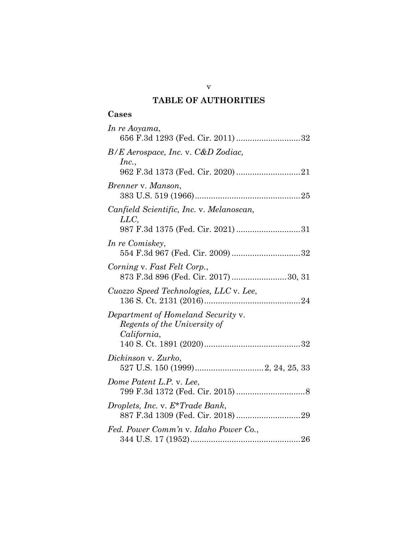## **TABLE OF AUTHORITIES**

| In re Aoyama,<br>656 F.3d 1293 (Fed. Cir. 2011) 32                                    |
|---------------------------------------------------------------------------------------|
| $B/E$ Aerospace, Inc. v. C&D Zodiac,<br>Inc.,                                         |
| Brenner v. Manson,                                                                    |
| Canfield Scientific, Inc. v. Melanoscan,<br>LLC,<br>987 F.3d 1375 (Fed. Cir. 2021) 31 |
| In re Comiskey,<br>554 F.3d 967 (Fed. Cir. 2009) 32                                   |
| Corning v. Fast Felt Corp.,<br>873 F.3d 896 (Fed. Cir. 2017) 30, 31                   |
| Cuozzo Speed Technologies, LLC v. Lee,                                                |
| Department of Homeland Security v.<br>Regents of the University of<br>California,     |
| Dickinson v. Zurko,                                                                   |
| Dome Patent L.P. v. Lee,                                                              |
| Droplets, Inc. v. E*Trade Bank,                                                       |
| Fed. Power Comm'n v. Idaho Power Co.,                                                 |

v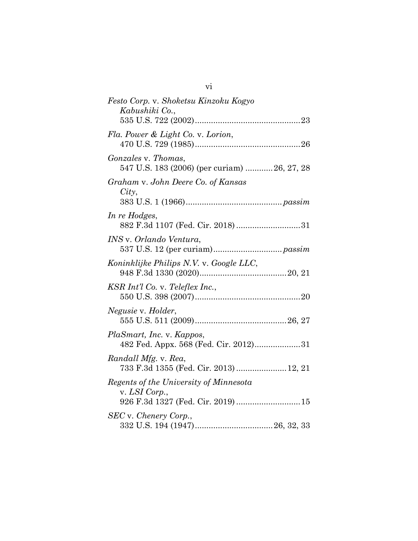| Festo Corp. v. Shoketsu Kinzoku Kogyo<br>Kabushiki Co.,                                       |
|-----------------------------------------------------------------------------------------------|
| Fla. Power & Light Co. v. Lorion,                                                             |
| Gonzales v. Thomas,<br>547 U.S. 183 (2006) (per curiam)  26, 27, 28                           |
| Graham v. John Deere Co. of Kansas<br>City,                                                   |
| In re Hodges,<br>882 F.3d 1107 (Fed. Cir. 2018) 31                                            |
| <i>INS</i> v. <i>Orlando Ventura</i> ,                                                        |
| Koninklijke Philips N.V. v. Google LLC,                                                       |
| KSR Int'l Co. v. Teleflex Inc.,                                                               |
| Negusie v. Holder,                                                                            |
| PlaSmart, Inc. v. Kappos,<br>482 Fed. Appx. 568 (Fed. Cir. 2012)31                            |
| Randall Mfg. v. Rea,<br>733 F.3d 1355 (Fed. Cir. 2013)  12, 21                                |
| Regents of the University of Minnesota<br>v. LSI Corp.,<br>926 F.3d 1327 (Fed. Cir. 2019)  15 |
| SEC v. Chenery Corp.,                                                                         |
|                                                                                               |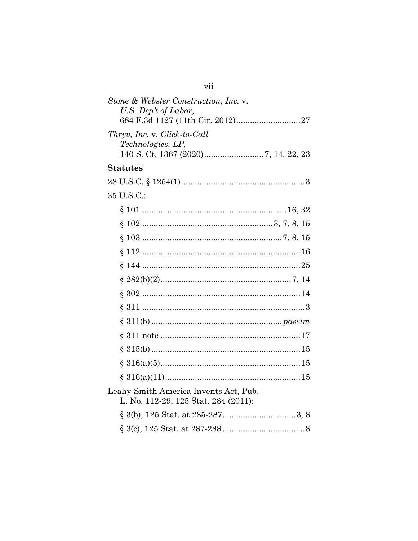| vii                                                                           |  |
|-------------------------------------------------------------------------------|--|
| Stone & Webster Construction, Inc. v.<br>U.S. Dep't of Labor,                 |  |
| Thryv, Inc. v. Click-to-Call<br><i>Technologies, LP,</i>                      |  |
| <b>Statutes</b>                                                               |  |
|                                                                               |  |
| 35 U.S.C.:                                                                    |  |
|                                                                               |  |
|                                                                               |  |
|                                                                               |  |
|                                                                               |  |
|                                                                               |  |
|                                                                               |  |
|                                                                               |  |
|                                                                               |  |
|                                                                               |  |
|                                                                               |  |
|                                                                               |  |
|                                                                               |  |
|                                                                               |  |
| Leahy-Smith America Invents Act, Pub.<br>L. No. 112-29, 125 Stat. 284 (2011): |  |
|                                                                               |  |
|                                                                               |  |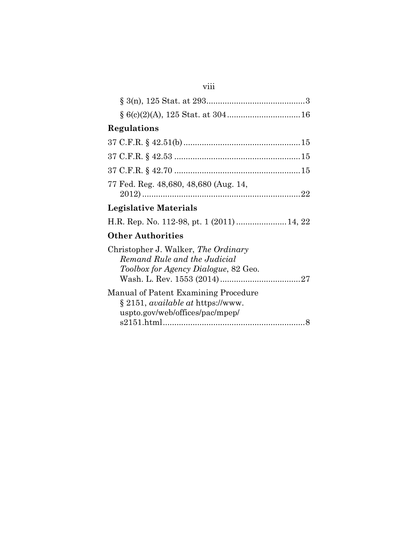| Regulations                                                                                                             |  |
|-------------------------------------------------------------------------------------------------------------------------|--|
|                                                                                                                         |  |
|                                                                                                                         |  |
|                                                                                                                         |  |
| 77 Fed. Reg. 48,680, 48,680 (Aug. 14,                                                                                   |  |
| Legislative Materials                                                                                                   |  |
|                                                                                                                         |  |
| <b>Other Authorities</b>                                                                                                |  |
| Christopher J. Walker, The Ordinary<br>Remand Rule and the Judicial<br><i>Toolbox for Agency Dialogue, 82 Geo.</i>      |  |
| Manual of Patent Examining Procedure<br>$\S 2151$ , <i>available at https://www.</i><br>uspto.gov/web/offices/pac/mpep/ |  |

viii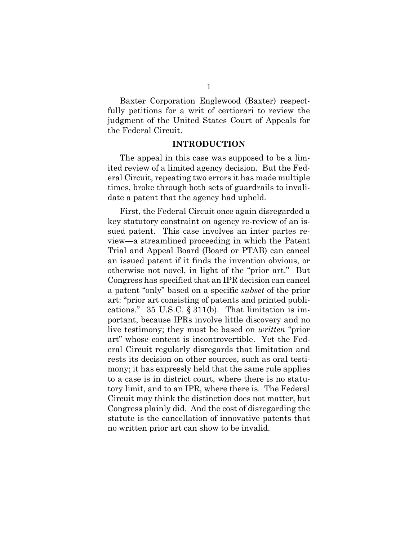Baxter Corporation Englewood (Baxter) respectfully petitions for a writ of certiorari to review the judgment of the United States Court of Appeals for the Federal Circuit.

#### **INTRODUCTION**

<span id="page-9-0"></span>The appeal in this case was supposed to be a limited review of a limited agency decision. But the Federal Circuit, repeating two errors it has made multiple times, broke through both sets of guardrails to invalidate a patent that the agency had upheld.

<span id="page-9-1"></span>First, the Federal Circuit once again disregarded a key statutory constraint on agency re-review of an issued patent. This case involves an inter partes review—a streamlined proceeding in which the Patent Trial and Appeal Board (Board or PTAB) can cancel an issued patent if it finds the invention obvious, or otherwise not novel, in light of the "prior art." But Congress has specified that an IPR decision can cancel a patent "only" based on a specific *subset* of the prior art: "prior art consisting of patents and printed publications." 35 U.S.C. § 311(b). That limitation is important, because IPRs involve little discovery and no live testimony; they must be based on *written* "prior art" whose content is incontrovertible. Yet the Federal Circuit regularly disregards that limitation and rests its decision on other sources, such as oral testimony; it has expressly held that the same rule applies to a case is in district court, where there is no statutory limit, and to an IPR, where there is. The Federal Circuit may think the distinction does not matter, but Congress plainly did. And the cost of disregarding the statute is the cancellation of innovative patents that no written prior art can show to be invalid.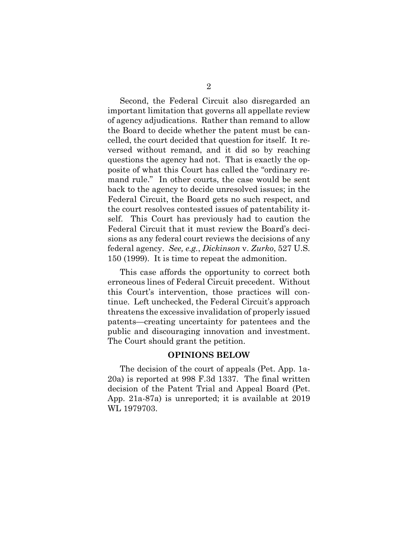Second, the Federal Circuit also disregarded an important limitation that governs all appellate review of agency adjudications. Rather than remand to allow the Board to decide whether the patent must be cancelled, the court decided that question for itself. It reversed without remand, and it did so by reaching questions the agency had not. That is exactly the opposite of what this Court has called the "ordinary remand rule." In other courts, the case would be sent back to the agency to decide unresolved issues; in the Federal Circuit, the Board gets no such respect, and the court resolves contested issues of patentability itself. This Court has previously had to caution the Federal Circuit that it must review the Board's decisions as any federal court reviews the decisions of any federal agency. *See, e.g.*, *Dickinson* v. *Zurko*, 527 U.S. 150 (1999). It is time to repeat the admonition.

<span id="page-10-1"></span>This case affords the opportunity to correct both erroneous lines of Federal Circuit precedent. Without this Court's intervention, those practices will continue. Left unchecked, the Federal Circuit's approach threatens the excessive invalidation of properly issued patents—creating uncertainty for patentees and the public and discouraging innovation and investment. The Court should grant the petition.

#### **OPINIONS BELOW**

<span id="page-10-0"></span>The decision of the court of appeals (Pet. App. 1a-20a) is reported at 998 F.3d 1337. The final written decision of the Patent Trial and Appeal Board (Pet. App. 21a-87a) is unreported; it is available at 2019 WL 1979703.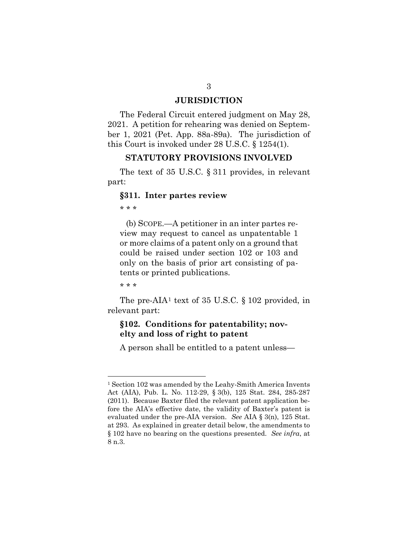#### <span id="page-11-2"></span>**JURISDICTION**

<span id="page-11-0"></span>The Federal Circuit entered judgment on May 28, 2021. A petition for rehearing was denied on September 1, 2021 (Pet. App. 88a-89a). The jurisdiction of this Court is invoked under 28 U.S.C. § 1254(1).

#### <span id="page-11-4"></span>**STATUTORY PROVISIONS INVOLVED**

<span id="page-11-1"></span>The text of 35 U.S.C. § 311 provides, in relevant part:

#### **§311. Inter partes review**

\* \* \*

(b) SCOPE.—A petitioner in an inter partes review may request to cancel as unpatentable 1 or more claims of a patent only on a ground that could be raised under section 102 or 103 and only on the basis of prior art consisting of patents or printed publications.

\* \* \*

The pre-AIA<sup>[1](#page-11-7)</sup> text of 35 U.S.C. § 102 provided, in relevant part:

## **§102. Conditions for patentability; novelty and loss of right to patent**

<span id="page-11-6"></span><span id="page-11-5"></span>A person shall be entitled to a patent unless—

<span id="page-11-7"></span><span id="page-11-3"></span><sup>1</sup> Section 102 was amended by the Leahy-Smith America Invents Act (AIA), Pub. L. No. 112-29, § 3(b), 125 Stat. 284, 285-287 (2011). Because Baxter filed the relevant patent application before the AIA's effective date, the validity of Baxter's patent is evaluated under the pre-AIA version. *See* AIA § 3(n), 125 Stat. at 293. As explained in greater detail below, the amendments to § 102 have no bearing on the questions presented. *See infra*, at 8 n.3.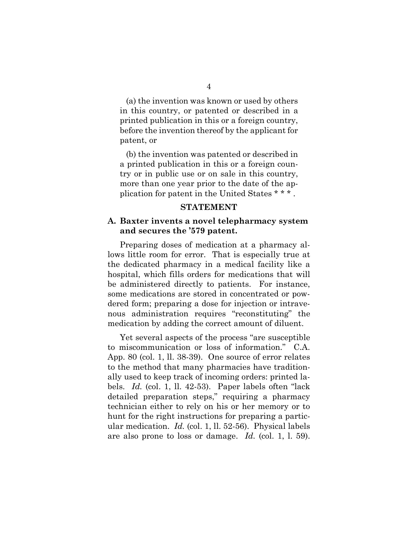(a) the invention was known or used by others in this country, or patented or described in a printed publication in this or a foreign country, before the invention thereof by the applicant for patent, or

(b) the invention was patented or described in a printed publication in this or a foreign country or in public use or on sale in this country, more than one year prior to the date of the application for patent in the United States \* \* \* .

#### **STATEMENT**

### <span id="page-12-1"></span><span id="page-12-0"></span>**A. Baxter invents a novel telepharmacy system and secures the '579 patent.**

Preparing doses of medication at a pharmacy allows little room for error. That is especially true at the dedicated pharmacy in a medical facility like a hospital, which fills orders for medications that will be administered directly to patients. For instance, some medications are stored in concentrated or powdered form; preparing a dose for injection or intravenous administration requires "reconstituting" the medication by adding the correct amount of diluent.

Yet several aspects of the process "are susceptible to miscommunication or loss of information." C.A. App. 80 (col. 1, ll. 38-39). One source of error relates to the method that many pharmacies have traditionally used to keep track of incoming orders: printed labels. *Id.* (col. 1, ll. 42-53). Paper labels often "lack detailed preparation steps," requiring a pharmacy technician either to rely on his or her memory or to hunt for the right instructions for preparing a particular medication. *Id.* (col. 1, ll. 52-56). Physical labels are also prone to loss or damage. *Id.* (col. 1, l. 59).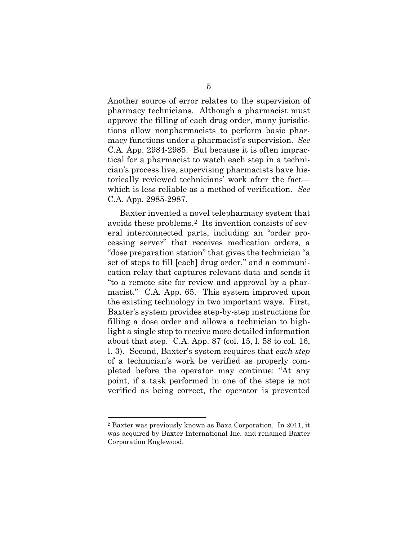Another source of error relates to the supervision of pharmacy technicians. Although a pharmacist must approve the filling of each drug order, many jurisdictions allow nonpharmacists to perform basic pharmacy functions under a pharmacist's supervision. *See*  C.A. App. 2984-2985. But because it is often impractical for a pharmacist to watch each step in a technician's process live, supervising pharmacists have historically reviewed technicians' work after the fact which is less reliable as a method of verification. *See*  C.A. App. 2985-2987.

Baxter invented a novel telepharmacy system that avoids these problems.[2](#page-13-0) Its invention consists of several interconnected parts, including an "order processing server" that receives medication orders, a "dose preparation station" that gives the technician "a set of steps to fill [each] drug order," and a communication relay that captures relevant data and sends it "to a remote site for review and approval by a pharmacist." C.A. App. 65. This system improved upon the existing technology in two important ways. First, Baxter's system provides step-by-step instructions for filling a dose order and allows a technician to highlight a single step to receive more detailed information about that step. C.A. App. 87 (col. 15, l. 58 to col. 16, l. 3).Second, Baxter's system requires that *each step* of a technician's work be verified as properly completed before the operator may continue: "At any point, if a task performed in one of the steps is not verified as being correct, the operator is prevented

<span id="page-13-0"></span><sup>2</sup> Baxter was previously known as Baxa Corporation. In 2011, it was acquired by Baxter International Inc. and renamed Baxter Corporation Englewood.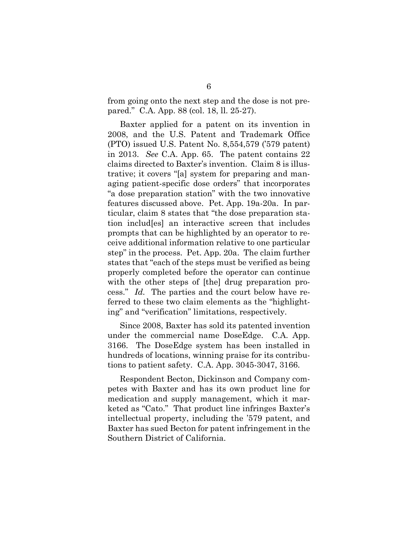from going onto the next step and the dose is not prepared." C.A. App. 88 (col. 18, ll. 25-27).

Baxter applied for a patent on its invention in 2008, and the U.S. Patent and Trademark Office (PTO) issued U.S. Patent No. 8,554,579 ('579 patent) in 2013. *See* C.A. App. 65. The patent contains 22 claims directed to Baxter's invention. Claim 8 is illustrative; it covers "[a] system for preparing and managing patient-specific dose orders" that incorporates "a dose preparation station" with the two innovative features discussed above. Pet. App. 19a-20a. In particular, claim 8 states that "the dose preparation station includ[es] an interactive screen that includes prompts that can be highlighted by an operator to receive additional information relative to one particular step" in the process. Pet. App. 20a. The claim further states that "each of the steps must be verified as being properly completed before the operator can continue with the other steps of [the] drug preparation process." *Id.* The parties and the court below have referred to these two claim elements as the "highlighting" and "verification" limitations, respectively.

Since 2008, Baxter has sold its patented invention under the commercial name DoseEdge. C.A. App. 3166. The DoseEdge system has been installed in hundreds of locations, winning praise for its contributions to patient safety. C.A. App. 3045-3047, 3166.

Respondent Becton, Dickinson and Company competes with Baxter and has its own product line for medication and supply management, which it marketed as "Cato." That product line infringes Baxter's intellectual property, including the '579 patent, and Baxter has sued Becton for patent infringement in the Southern District of California.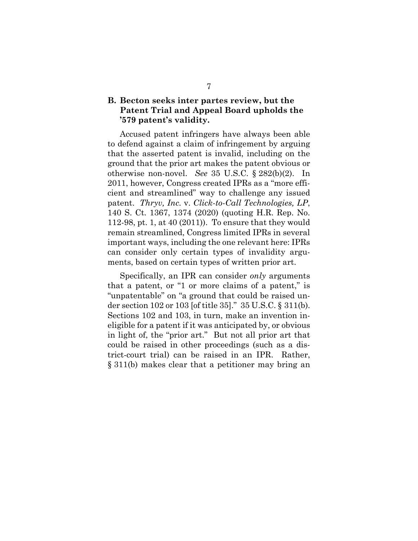## <span id="page-15-0"></span>**B. Becton seeks inter partes review, but the Patent Trial and Appeal Board upholds the '579 patent's validity.**

<span id="page-15-4"></span><span id="page-15-1"></span>Accused patent infringers have always been able to defend against a claim of infringement by arguing that the asserted patent is invalid, including on the ground that the prior art makes the patent obvious or otherwise non-novel. *See* 35 U.S.C. § 282(b)(2). In 2011, however, Congress created IPRs as a "more efficient and streamlined" way to challenge any issued patent. *Thryv, Inc.* v. *Click-to-Call Technologies, LP*, 140 S. Ct. 1367, 1374 (2020) (quoting H.R. Rep. No. 112-98, pt. 1, at 40 (2011)). To ensure that they would remain streamlined, Congress limited IPRs in several important ways, including the one relevant here: IPRs can consider only certain types of invalidity arguments, based on certain types of written prior art.

<span id="page-15-3"></span><span id="page-15-2"></span>Specifically, an IPR can consider *only* arguments that a patent, or "1 or more claims of a patent," is "unpatentable" on "a ground that could be raised under section 102 or 103 [of title 35]." 35 U.S.C. § 311(b). Sections 102 and 103, in turn, make an invention ineligible for a patent if it was anticipated by, or obvious in light of, the "prior art." But not all prior art that could be raised in other proceedings (such as a district-court trial) can be raised in an IPR. Rather, § 311(b) makes clear that a petitioner may bring an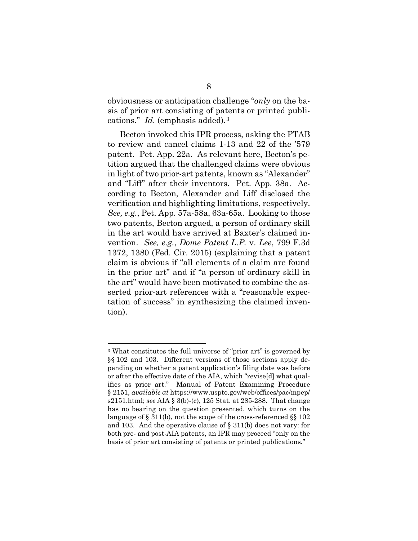obviousness or anticipation challenge "*only* on the basis of prior art consisting of patents or printed publications." *Id.* (emphasis added).[3](#page-16-6)

<span id="page-16-0"></span>Becton invoked this IPR process, asking the PTAB to review and cancel claims 1-13 and 22 of the '579 patent. Pet. App. 22a. As relevant here, Becton's petition argued that the challenged claims were obvious in light of two prior-art patents, known as "Alexander" and "Liff" after their inventors. Pet. App. 38a. According to Becton, Alexander and Liff disclosed the verification and highlighting limitations, respectively. *See, e.g.*, Pet. App. 57a-58a, 63a-65a. Looking to those two patents, Becton argued, a person of ordinary skill in the art would have arrived at Baxter's claimed invention. *See, e.g.*, *Dome Patent L.P.* v. *Lee*, 799 F.3d 1372, 1380 (Fed. Cir. 2015) (explaining that a patent claim is obvious if "all elements of a claim are found in the prior art" and if "a person of ordinary skill in the art" would have been motivated to combine the asserted prior-art references with a "reasonable expectation of success" in synthesizing the claimed invention).

<span id="page-16-6"></span><span id="page-16-5"></span><span id="page-16-4"></span><span id="page-16-3"></span><span id="page-16-2"></span><span id="page-16-1"></span><sup>3</sup> What constitutes the full universe of "prior art" is governed by §§ 102 and 103. Different versions of those sections apply depending on whether a patent application's filing date was before or after the effective date of the AIA, which "revise[d] what qualifies as prior art." Manual of Patent Examining Procedure § 2151, *available at* https://www.uspto.gov/web/offices/pac/mpep/ s2151.html; *see* AIA § 3(b)-(c), 125 Stat. at 285-288. That change has no bearing on the question presented, which turns on the language of § 311(b), not the scope of the cross-referenced §§ 102 and 103. And the operative clause of § 311(b) does not vary: for both pre- and post-AIA patents, an IPR may proceed "only on the basis of prior art consisting of patents or printed publications."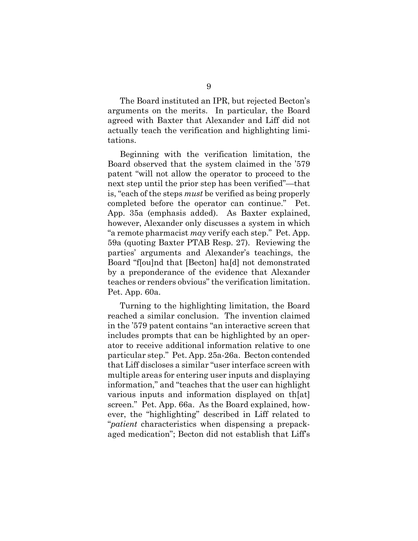The Board instituted an IPR, but rejected Becton's arguments on the merits. In particular, the Board agreed with Baxter that Alexander and Liff did not actually teach the verification and highlighting limitations.

Beginning with the verification limitation, the Board observed that the system claimed in the '579 patent "will not allow the operator to proceed to the next step until the prior step has been verified"—that is, "each of the steps *must* be verified as being properly completed before the operator can continue." Pet. App. 35a (emphasis added). As Baxter explained, however, Alexander only discusses a system in which "a remote pharmacist *may* verify each step." Pet. App. 59a (quoting Baxter PTAB Resp. 27). Reviewing the parties' arguments and Alexander's teachings, the Board "f[ou]nd that [Becton] ha[d] not demonstrated by a preponderance of the evidence that Alexander teaches or renders obvious" the verification limitation. Pet. App. 60a.

Turning to the highlighting limitation, the Board reached a similar conclusion. The invention claimed in the '579 patent contains "an interactive screen that includes prompts that can be highlighted by an operator to receive additional information relative to one particular step." Pet. App. 25a-26a. Becton contended that Liff discloses a similar "user interface screen with multiple areas for entering user inputs and displaying information," and "teaches that the user can highlight various inputs and information displayed on th[at] screen." Pet. App. 66a. As the Board explained, however, the "highlighting" described in Liff related to "*patient* characteristics when dispensing a prepackaged medication"; Becton did not establish that Liff's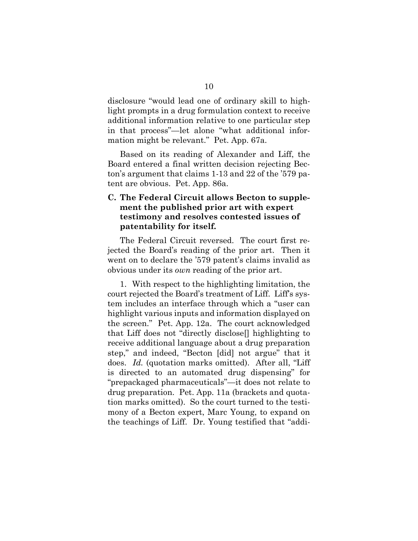disclosure "would lead one of ordinary skill to highlight prompts in a drug formulation context to receive additional information relative to one particular step in that process"—let alone "what additional information might be relevant." Pet. App. 67a.

Based on its reading of Alexander and Liff, the Board entered a final written decision rejecting Becton's argument that claims 1-13 and 22 of the '579 patent are obvious. Pet. App. 86a.

## <span id="page-18-0"></span>**C. The Federal Circuit allows Becton to supplement the published prior art with expert testimony and resolves contested issues of patentability for itself.**

The Federal Circuit reversed. The court first rejected the Board's reading of the prior art. Then it went on to declare the '579 patent's claims invalid as obvious under its *own* reading of the prior art.

1. With respect to the highlighting limitation, the court rejected the Board's treatment of Liff. Liff's system includes an interface through which a "user can highlight various inputs and information displayed on the screen." Pet. App. 12a. The court acknowledged that Liff does not "directly disclose[] highlighting to receive additional language about a drug preparation step," and indeed, "Becton [did] not argue" that it does. *Id.* (quotation marks omitted). After all, "Liff is directed to an automated drug dispensing" for "prepackaged pharmaceuticals"—it does not relate to drug preparation. Pet. App. 11a (brackets and quotation marks omitted). So the court turned to the testimony of a Becton expert, Marc Young, to expand on the teachings of Liff. Dr. Young testified that "addi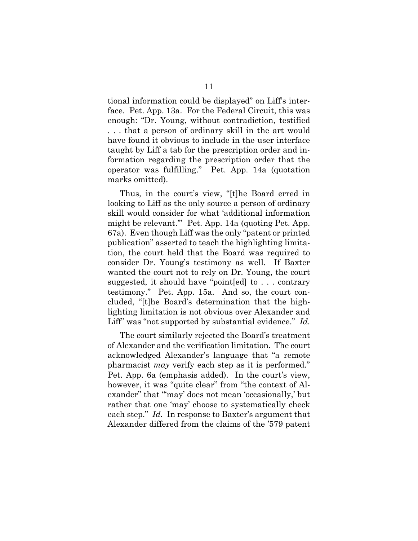tional information could be displayed" on Liff's interface. Pet. App. 13a. For the Federal Circuit, this was enough: "Dr. Young, without contradiction, testified . . . that a person of ordinary skill in the art would have found it obvious to include in the user interface taught by Liff a tab for the prescription order and information regarding the prescription order that the operator was fulfilling." Pet. App. 14a (quotation marks omitted).

Thus, in the court's view, "[t]he Board erred in looking to Liff as the only source a person of ordinary skill would consider for what 'additional information might be relevant.'" Pet. App. 14a (quoting Pet. App. 67a). Even though Liff was the only "patent or printed publication" asserted to teach the highlighting limitation, the court held that the Board was required to consider Dr. Young's testimony as well. If Baxter wanted the court not to rely on Dr. Young, the court suggested, it should have "point[ed] to . . . contrary testimony." Pet. App. 15a. And so, the court concluded, "[t]he Board's determination that the highlighting limitation is not obvious over Alexander and Liff" was "not supported by substantial evidence." *Id.*

The court similarly rejected the Board's treatment of Alexander and the verification limitation. The court acknowledged Alexander's language that "a remote pharmacist *may* verify each step as it is performed." Pet. App. 6a (emphasis added). In the court's view, however, it was "quite clear" from "the context of Alexander" that "'may' does not mean 'occasionally,' but rather that one 'may' choose to systematically check each step." *Id.* In response to Baxter's argument that Alexander differed from the claims of the '579 patent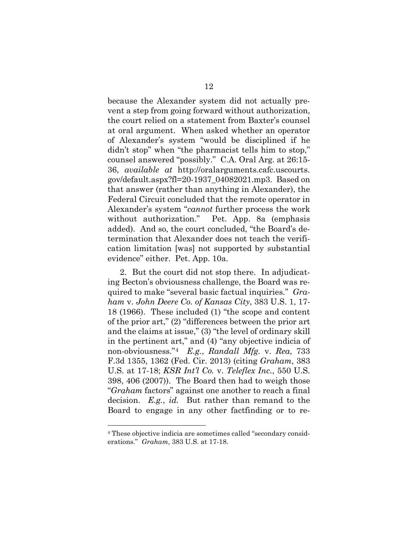because the Alexander system did not actually prevent a step from going forward without authorization, the court relied on a statement from Baxter's counsel at oral argument. When asked whether an operator of Alexander's system "would be disciplined if he didn't stop" when "the pharmacist tells him to stop," counsel answered "possibly." C.A. Oral Arg. at 26:15- 36, *available at* http://oralarguments.cafc.uscourts. gov/default.aspx?fl=20-1937\_04082021.mp3. Based on that answer (rather than anything in Alexander), the Federal Circuit concluded that the remote operator in Alexander's system "*cannot* further process the work without authorization." Pet. App. 8a (emphasis added). And so, the court concluded, "the Board's determination that Alexander does not teach the verification limitation [was] not supported by substantial evidence" either. Pet. App. 10a.

<span id="page-20-1"></span><span id="page-20-0"></span>2. But the court did not stop there. In adjudicating Becton's obviousness challenge, the Board was required to make "several basic factual inquiries." *Graham* v. *John Deere Co. of Kansas City*, 383 U.S. 1, 17- 18 (1966). These included (1) "the scope and content of the prior art," (2) "differences between the prior art and the claims at issue," (3) "the level of ordinary skill in the pertinent art," and (4) "any objective indicia of non-obviousness."[4](#page-20-2) *E.g.*, *Randall Mfg.* v. *Rea*, 733 F.3d 1355, 1362 (Fed. Cir. 2013) (citing *Graham*, 383 U.S. at 17-18; *KSR Int'l Co.* v. *Teleflex Inc.*, 550 U.S. 398, 406 (2007)). The Board then had to weigh those "*Graham* factors" against one another to reach a final decision. *E.g.*, *id.* But rather than remand to the Board to engage in any other factfinding or to re-

<span id="page-20-2"></span><sup>4</sup> These objective indicia are sometimes called "secondary considerations." *Graham*, 383 U.S. at 17-18.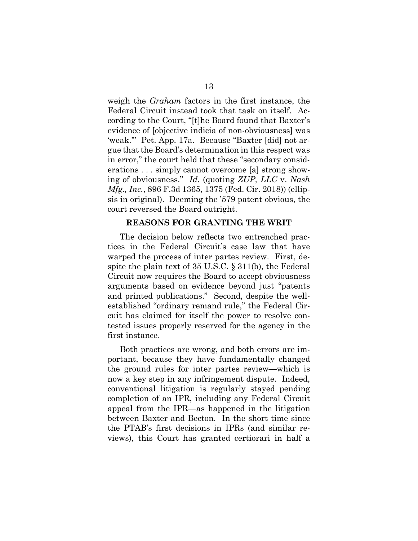weigh the *Graham* factors in the first instance, the Federal Circuit instead took that task on itself. According to the Court, "[t]he Board found that Baxter's evidence of [objective indicia of non-obviousness] was 'weak.'" Pet. App. 17a. Because "Baxter [did] not argue that the Board's determination in this respect was in error," the court held that these "secondary considerations . . . simply cannot overcome [a] strong showing of obviousness." *Id.* (quoting *ZUP, LLC* v. *Nash Mfg., Inc.*, 896 F.3d 1365, 1375 (Fed. Cir. 2018)) (ellipsis in original). Deeming the '579 patent obvious, the court reversed the Board outright.

#### **REASONS FOR GRANTING THE WRIT**

<span id="page-21-0"></span>The decision below reflects two entrenched practices in the Federal Circuit's case law that have warped the process of inter partes review. First, despite the plain text of 35 U.S.C. § 311(b), the Federal Circuit now requires the Board to accept obviousness arguments based on evidence beyond just "patents and printed publications." Second, despite the wellestablished "ordinary remand rule," the Federal Circuit has claimed for itself the power to resolve contested issues properly reserved for the agency in the first instance.

Both practices are wrong, and both errors are important, because they have fundamentally changed the ground rules for inter partes review—which is now a key step in any infringement dispute. Indeed, conventional litigation is regularly stayed pending completion of an IPR, including any Federal Circuit appeal from the IPR—as happened in the litigation between Baxter and Becton. In the short time since the PTAB's first decisions in IPRs (and similar reviews), this Court has granted certiorari in half a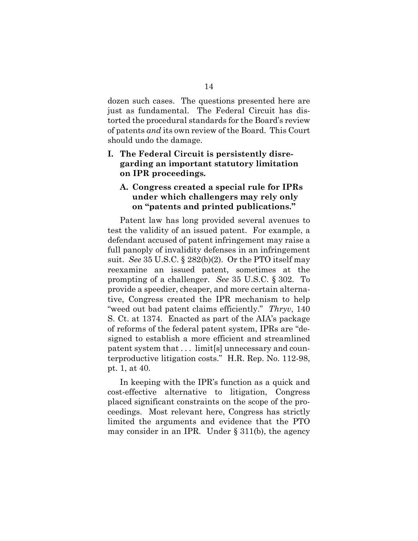dozen such cases. The questions presented here are just as fundamental. The Federal Circuit has distorted the procedural standards for the Board's review of patents *and* its own review of the Board. This Court should undo the damage.

## <span id="page-22-0"></span>**I. The Federal Circuit is persistently disregarding an important statutory limitation on IPR proceedings.**

## <span id="page-22-1"></span>**A. Congress created a special rule for IPRs under which challengers may rely only on "patents and printed publications."**

<span id="page-22-4"></span><span id="page-22-3"></span>Patent law has long provided several avenues to test the validity of an issued patent. For example, a defendant accused of patent infringement may raise a full panoply of invalidity defenses in an infringement suit. *See* 35 U.S.C. § 282(b)(2). Or the PTO itself may reexamine an issued patent, sometimes at the prompting of a challenger. *See* 35 U.S.C. § 302. To provide a speedier, cheaper, and more certain alternative, Congress created the IPR mechanism to help "weed out bad patent claims efficiently." *Thryv*, 140 S. Ct. at 1374. Enacted as part of the AIA's package of reforms of the federal patent system, IPRs are "designed to establish a more efficient and streamlined patent system that . . . limit[s] unnecessary and counterproductive litigation costs." H.R. Rep. No. 112-98, pt. 1, at 40.

<span id="page-22-5"></span><span id="page-22-2"></span>In keeping with the IPR's function as a quick and cost-effective alternative to litigation, Congress placed significant constraints on the scope of the proceedings. Most relevant here, Congress has strictly limited the arguments and evidence that the PTO may consider in an IPR. Under  $\S 311(b)$ , the agency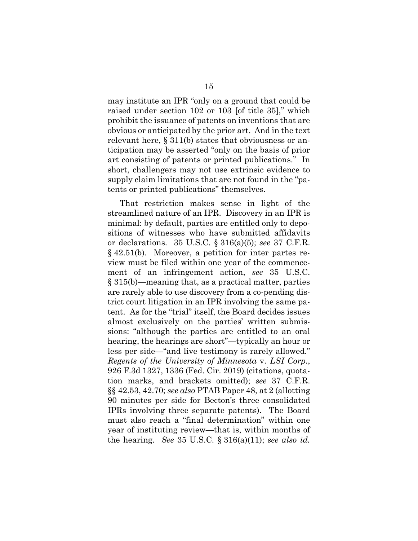<span id="page-23-2"></span><span id="page-23-1"></span>may institute an IPR "only on a ground that could be raised under section 102 or 103 [of title 35]," which prohibit the issuance of patents on inventions that are obvious or anticipated by the prior art. And in the text relevant here, § 311(b) states that obviousness or anticipation may be asserted "only on the basis of prior art consisting of patents or printed publications." In short, challengers may not use extrinsic evidence to supply claim limitations that are not found in the "patents or printed publications" themselves.

<span id="page-23-8"></span><span id="page-23-7"></span><span id="page-23-6"></span><span id="page-23-5"></span><span id="page-23-4"></span><span id="page-23-3"></span><span id="page-23-0"></span>That restriction makes sense in light of the streamlined nature of an IPR. Discovery in an IPR is minimal: by default, parties are entitled only to depositions of witnesses who have submitted affidavits or declarations. 35 U.S.C. § 316(a)(5); *see* 37 C.F.R. § 42.51(b). Moreover, a petition for inter partes review must be filed within one year of the commencement of an infringement action, *see* 35 U.S.C. § 315(b)—meaning that, as a practical matter, parties are rarely able to use discovery from a co-pending district court litigation in an IPR involving the same patent. As for the "trial" itself, the Board decides issues almost exclusively on the parties' written submissions: "although the parties are entitled to an oral hearing, the hearings are short"—typically an hour or less per side—"and live testimony is rarely allowed." *Regents of the University of Minnesota* v. *LSI Corp.*, 926 F.3d 1327, 1336 (Fed. Cir. 2019) (citations, quotation marks, and brackets omitted); *see* 37 C.F.R. §§ 42.53, 42.70; *see also* PTAB Paper 48, at 2 (allotting 90 minutes per side for Becton's three consolidated IPRs involving three separate patents). The Board must also reach a "final determination" within one year of instituting review—that is, within months of the hearing. *See* 35 U.S.C. § 316(a)(11); *see also id.*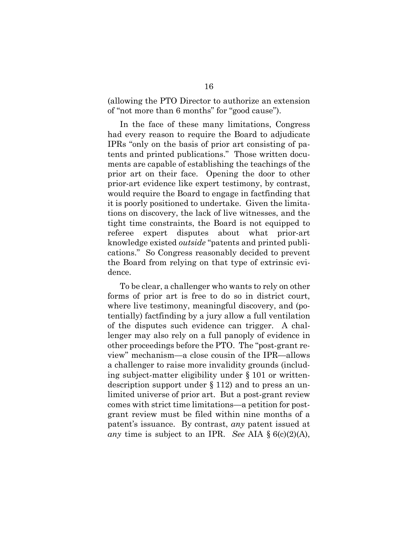(allowing the PTO Director to authorize an extension of "not more than 6 months" for "good cause").

In the face of these many limitations, Congress had every reason to require the Board to adjudicate IPRs "only on the basis of prior art consisting of patents and printed publications." Those written documents are capable of establishing the teachings of the prior art on their face. Opening the door to other prior-art evidence like expert testimony, by contrast, would require the Board to engage in factfinding that it is poorly positioned to undertake. Given the limitations on discovery, the lack of live witnesses, and the tight time constraints, the Board is not equipped to referee expert disputes about what prior-art knowledge existed *outside* "patents and printed publications." So Congress reasonably decided to prevent the Board from relying on that type of extrinsic evidence.

<span id="page-24-2"></span><span id="page-24-1"></span><span id="page-24-0"></span>To be clear, a challenger who wants to rely on other forms of prior art is free to do so in district court, where live testimony, meaningful discovery, and (potentially) factfinding by a jury allow a full ventilation of the disputes such evidence can trigger. A challenger may also rely on a full panoply of evidence in other proceedings before the PTO. The "post-grant review" mechanism—a close cousin of the IPR—allows a challenger to raise more invalidity grounds (including subject-matter eligibility under § 101 or writtendescription support under § 112) and to press an unlimited universe of prior art. But a post-grant review comes with strict time limitations—a petition for postgrant review must be filed within nine months of a patent's issuance. By contrast, *any* patent issued at *any* time is subject to an IPR. *See* AIA § 6(c)(2)(A),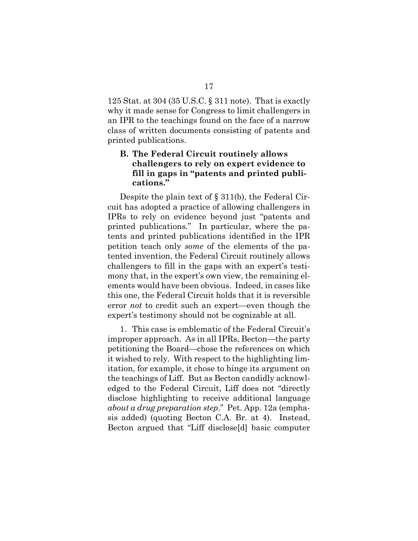<span id="page-25-1"></span>125 Stat. at 304 (35 U.S.C. § 311 note). That is exactly why it made sense for Congress to limit challengers in an IPR to the teachings found on the face of a narrow class of written documents consisting of patents and printed publications.

## <span id="page-25-0"></span>**B. The Federal Circuit routinely allows challengers to rely on expert evidence to fill in gaps in "patents and printed publications."**

Despite the plain text of § 311(b), the Federal Circuit has adopted a practice of allowing challengers in IPRs to rely on evidence beyond just "patents and printed publications." In particular, where the patents and printed publications identified in the IPR petition teach only *some* of the elements of the patented invention, the Federal Circuit routinely allows challengers to fill in the gaps with an expert's testimony that, in the expert's own view, the remaining elements would have been obvious. Indeed, in cases like this one, the Federal Circuit holds that it is reversible error *not* to credit such an expert—even though the expert's testimony should not be cognizable at all.

1. This case is emblematic of the Federal Circuit's improper approach. As in all IPRs, Becton—the party petitioning the Board—chose the references on which it wished to rely. With respect to the highlighting limitation, for example, it chose to hinge its argument on the teachings of Liff. But as Becton candidly acknowledged to the Federal Circuit, Liff does not "directly disclose highlighting to receive additional language *about a drug preparation step*." Pet. App. 12a (emphasis added) (quoting Becton C.A. Br. at 4). Instead, Becton argued that "Liff disclose[d] basic computer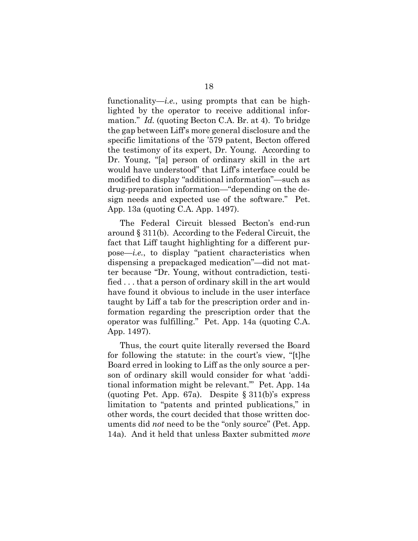functionality—*i.e.*, using prompts that can be highlighted by the operator to receive additional information." *Id.* (quoting Becton C.A. Br. at 4). To bridge the gap between Liff's more general disclosure and the specific limitations of the '579 patent, Becton offered the testimony of its expert, Dr. Young. According to Dr. Young, "[a] person of ordinary skill in the art would have understood" that Liff's interface could be modified to display "additional information"—such as drug-preparation information—"depending on the design needs and expected use of the software." Pet. App. 13a (quoting C.A. App. 1497).

The Federal Circuit blessed Becton's end-run around § 311(b). According to the Federal Circuit, the fact that Liff taught highlighting for a different purpose—*i.e.*, to display "patient characteristics when dispensing a prepackaged medication"—did not matter because "Dr. Young, without contradiction, testified . . . that a person of ordinary skill in the art would have found it obvious to include in the user interface taught by Liff a tab for the prescription order and information regarding the prescription order that the operator was fulfilling." Pet. App. 14a (quoting C.A. App. 1497).

Thus, the court quite literally reversed the Board for following the statute: in the court's view, "[t]he Board erred in looking to Liff as the only source a person of ordinary skill would consider for what 'additional information might be relevant.'" Pet. App. 14a (quoting Pet. App. 67a). Despite § 311(b)'s express limitation to "patents and printed publications," in other words, the court decided that those written documents did *not* need to be the "only source" (Pet. App. 14a). And it held that unless Baxter submitted *more*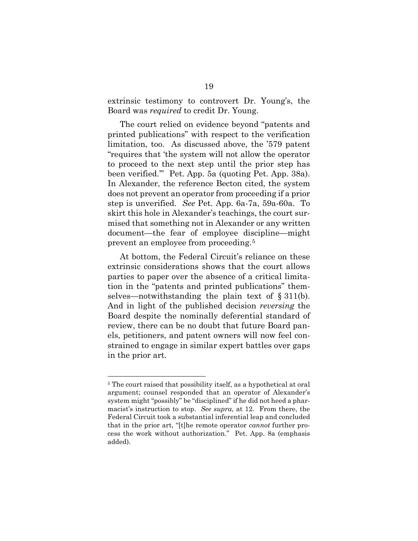extrinsic testimony to controvert Dr. Young's, the Board was *required* to credit Dr. Young.

The court relied on evidence beyond "patents and printed publications" with respect to the verification limitation, too. As discussed above, the '579 patent "requires that 'the system will not allow the operator to proceed to the next step until the prior step has been verified.'" Pet. App. 5a (quoting Pet. App. 38a). In Alexander, the reference Becton cited, the system does not prevent an operator from proceeding if a prior step is unverified. *See* Pet. App. 6a-7a, 59a-60a. To skirt this hole in Alexander's teachings, the court surmised that something not in Alexander or any written document—the fear of employee discipline—might prevent an employee from proceeding.[5](#page-27-0)

At bottom, the Federal Circuit's reliance on these extrinsic considerations shows that the court allows parties to paper over the absence of a critical limitation in the "patents and printed publications" themselves—notwithstanding the plain text of  $\S 311(b)$ . And in light of the published decision *reversing* the Board despite the nominally deferential standard of review, there can be no doubt that future Board panels, petitioners, and patent owners will now feel constrained to engage in similar expert battles over gaps in the prior art.

<span id="page-27-0"></span><sup>5</sup> The court raised that possibility itself, as a hypothetical at oral argument; counsel responded that an operator of Alexander's system might "possibly" be "disciplined" if he did not heed a pharmacist's instruction to stop. *See supra*, at 12. From there, the Federal Circuit took a substantial inferential leap and concluded that in the prior art, "[t]he remote operator *cannot* further process the work without authorization." Pet. App. 8a (emphasis added).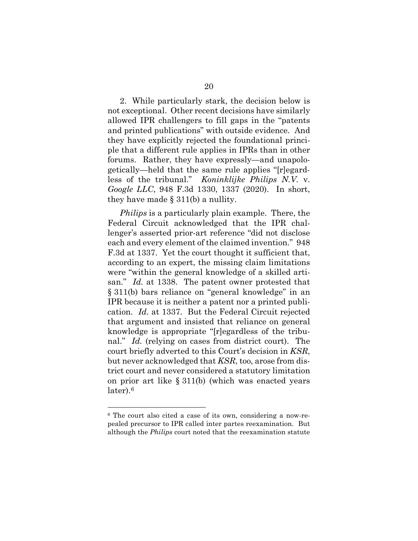2. While particularly stark, the decision below is not exceptional. Other recent decisions have similarly allowed IPR challengers to fill gaps in the "patents and printed publications" with outside evidence. And they have explicitly rejected the foundational principle that a different rule applies in IPRs than in other forums. Rather, they have expressly—and unapologetically—held that the same rule applies "[r]egardless of the tribunal." *Koninklijke Philips N.V.* v. *Google LLC*, 948 F.3d 1330, 1337 (2020). In short, they have made  $\S 311(b)$  a nullity.

<span id="page-28-0"></span>*Philips* is a particularly plain example. There, the Federal Circuit acknowledged that the IPR challenger's asserted prior-art reference "did not disclose each and every element of the claimed invention." 948 F.3d at 1337. Yet the court thought it sufficient that, according to an expert, the missing claim limitations were "within the general knowledge of a skilled artisan." *Id.* at 1338. The patent owner protested that § 311(b) bars reliance on "general knowledge" in an IPR because it is neither a patent nor a printed publication. *Id.* at 1337. But the Federal Circuit rejected that argument and insisted that reliance on general knowledge is appropriate "[r]egardless of the tribunal." *Id.* (relying on cases from district court). The court briefly adverted to this Court's decision in *KSR*, but never acknowledged that *KSR*, too, arose from district court and never considered a statutory limitation on prior art like § 311(b) (which was enacted years later).[6](#page-28-2)

<span id="page-28-2"></span><span id="page-28-1"></span><sup>6</sup> The court also cited a case of its own, considering a now-repealed precursor to IPR called inter partes reexamination. But although the *Philips* court noted that the reexamination statute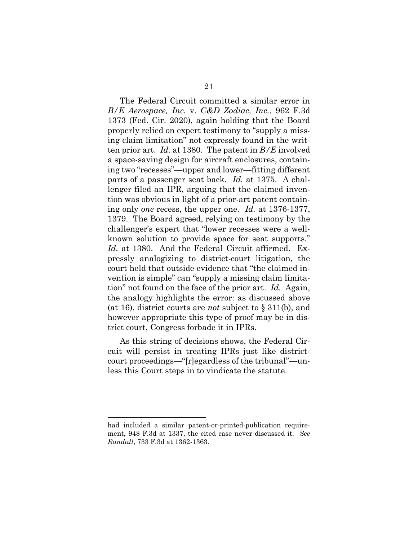<span id="page-29-0"></span>The Federal Circuit committed a similar error in *B/E Aerospace, Inc.* v. *C&D Zodiac, Inc.*, 962 F.3d 1373 (Fed. Cir. 2020), again holding that the Board properly relied on expert testimony to "supply a missing claim limitation" not expressly found in the written prior art. *Id.* at 1380. The patent in *B/E* involved a space-saving design for aircraft enclosures, containing two "recesses"—upper and lower—fitting different parts of a passenger seat back. *Id.* at 1375. A challenger filed an IPR, arguing that the claimed invention was obvious in light of a prior-art patent containing only *one* recess, the upper one. *Id.* at 1376-1377, 1379. The Board agreed, relying on testimony by the challenger's expert that "lower recesses were a wellknown solution to provide space for seat supports." *Id.* at 1380. And the Federal Circuit affirmed. Expressly analogizing to district-court litigation, the court held that outside evidence that "the claimed invention is simple" can "supply a missing claim limitation" not found on the face of the prior art. *Id.* Again, the analogy highlights the error: as discussed above (at 16), district courts are *not* subject to § 311(b), and however appropriate this type of proof may be in district court, Congress forbade it in IPRs.

As this string of decisions shows, the Federal Circuit will persist in treating IPRs just like districtcourt proceedings—"[r]egardless of the tribunal"—unless this Court steps in to vindicate the statute.

<span id="page-29-2"></span><span id="page-29-1"></span>had included a similar patent-or-printed-publication requirement, 948 F.3d at 1337, the cited case never discussed it. *See Randall*, 733 F.3d at 1362-1363.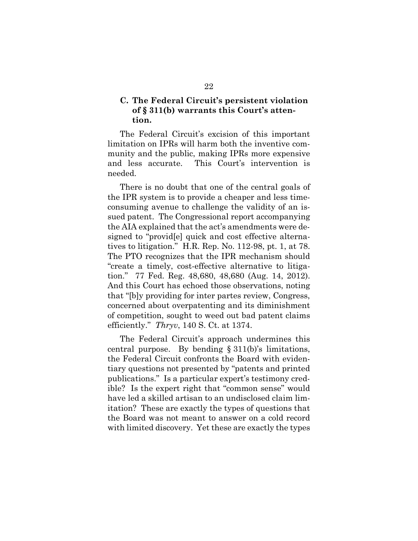## <span id="page-30-0"></span>**C. The Federal Circuit's persistent violation of § 311(b) warrants this Court's attention.**

The Federal Circuit's excision of this important limitation on IPRs will harm both the inventive community and the public, making IPRs more expensive and less accurate. This Court's intervention is needed.

<span id="page-30-3"></span>There is no doubt that one of the central goals of the IPR system is to provide a cheaper and less timeconsuming avenue to challenge the validity of an issued patent. The Congressional report accompanying the AIA explained that the act's amendments were designed to "provid[e] quick and cost effective alternatives to litigation." H.R. Rep. No. 112-98, pt. 1, at 78. The PTO recognizes that the IPR mechanism should "create a timely, cost-effective alternative to litigation." 77 Fed. Reg. 48,680, 48,680 (Aug. 14, 2012). And this Court has echoed those observations, noting that "[b]y providing for inter partes review, Congress, concerned about overpatenting and its diminishment of competition, sought to weed out bad patent claims efficiently." *Thryv*, 140 S. Ct. at 1374.

<span id="page-30-2"></span><span id="page-30-1"></span>The Federal Circuit's approach undermines this central purpose. By bending § 311(b)'s limitations, the Federal Circuit confronts the Board with evidentiary questions not presented by "patents and printed publications." Is a particular expert's testimony credible? Is the expert right that "common sense" would have led a skilled artisan to an undisclosed claim limitation? These are exactly the types of questions that the Board was not meant to answer on a cold record with limited discovery. Yet these are exactly the types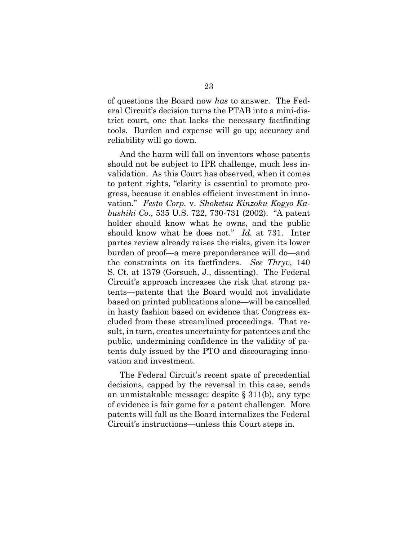of questions the Board now *has* to answer. The Federal Circuit's decision turns the PTAB into a mini-district court, one that lacks the necessary factfinding tools. Burden and expense will go up; accuracy and reliability will go down.

<span id="page-31-1"></span><span id="page-31-0"></span>And the harm will fall on inventors whose patents should not be subject to IPR challenge, much less invalidation. As this Court has observed, when it comes to patent rights, "clarity is essential to promote progress, because it enables efficient investment in innovation." *Festo Corp.* v. *Shoketsu Kinzoku Kogyo Kabushiki Co.*, 535 U.S. 722, 730-731 (2002). "A patent holder should know what he owns, and the public should know what he does not." *Id.* at 731. Inter partes review already raises the risks, given its lower burden of proof—a mere preponderance will do—and the constraints on its factfinders. *See Thryv*, 140 S. Ct. at 1379 (Gorsuch, J., dissenting). The Federal Circuit's approach increases the risk that strong patents—patents that the Board would not invalidate based on printed publications alone—will be cancelled in hasty fashion based on evidence that Congress excluded from these streamlined proceedings. That result, in turn, creates uncertainty for patentees and the public, undermining confidence in the validity of patents duly issued by the PTO and discouraging innovation and investment.

The Federal Circuit's recent spate of precedential decisions, capped by the reversal in this case, sends an unmistakable message: despite § 311(b), any type of evidence is fair game for a patent challenger. More patents will fall as the Board internalizes the Federal Circuit's instructions—unless this Court steps in.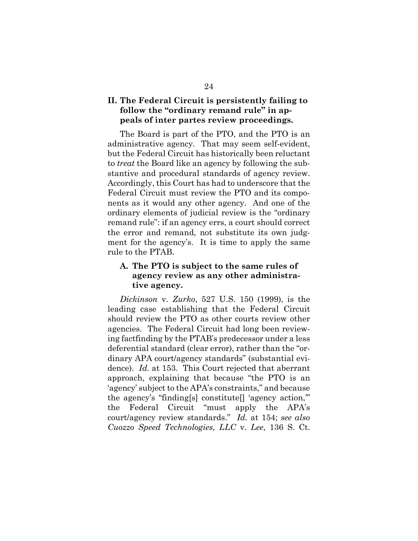## <span id="page-32-0"></span>**II. The Federal Circuit is persistently failing to follow the "ordinary remand rule" in appeals of inter partes review proceedings.**

The Board is part of the PTO, and the PTO is an administrative agency. That may seem self-evident, but the Federal Circuit has historically been reluctant to *treat* the Board like an agency by following the substantive and procedural standards of agency review. Accordingly, this Court has had to underscore that the Federal Circuit must review the PTO and its components as it would any other agency. And one of the ordinary elements of judicial review is the "ordinary remand rule": if an agency errs, a court should correct the error and remand, not substitute its own judgment for the agency's. It is time to apply the same rule to the PTAB.

## <span id="page-32-1"></span>**A. The PTO is subject to the same rules of agency review as any other administrative agency.**

<span id="page-32-3"></span><span id="page-32-2"></span>*Dickinson* v. *Zurko*, 527 U.S. 150 (1999), is the leading case establishing that the Federal Circuit should review the PTO as other courts review other agencies. The Federal Circuit had long been reviewing factfinding by the PTAB's predecessor under a less deferential standard (clear error), rather than the "ordinary APA court/agency standards" (substantial evidence). *Id.* at 153. This Court rejected that aberrant approach, explaining that because "the PTO is an 'agency' subject to the APA's constraints," and because the agency's "finding[s] constitute[] 'agency action,'" the Federal Circuit "must apply the APA's court/agency review standards." *Id.* at 154; *see also Cuozzo Speed Technologies, LLC* v. *Lee*, 136 S. Ct.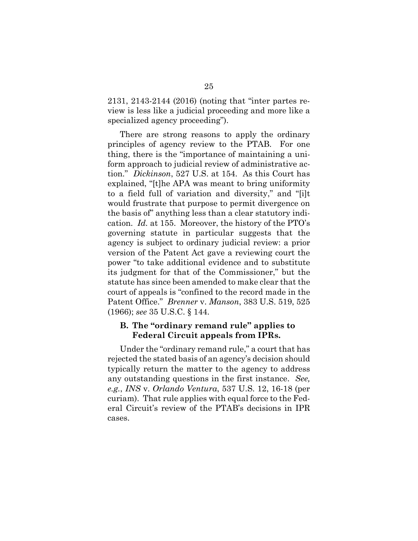2131, 2143-2144 (2016) (noting that "inter partes review is less like a judicial proceeding and more like a specialized agency proceeding").

<span id="page-33-2"></span>There are strong reasons to apply the ordinary principles of agency review to the PTAB. For one thing, there is the "importance of maintaining a uniform approach to judicial review of administrative action." *Dickinson*, 527 U.S. at 154. As this Court has explained, "[t]he APA was meant to bring uniformity to a field full of variation and diversity," and "[i]t would frustrate that purpose to permit divergence on the basis of" anything less than a clear statutory indication. *Id.* at 155. Moreover, the history of the PTO's governing statute in particular suggests that the agency is subject to ordinary judicial review: a prior version of the Patent Act gave a reviewing court the power "to take additional evidence and to substitute its judgment for that of the Commissioner," but the statute has since been amended to make clear that the court of appeals is "confined to the record made in the Patent Office." *Brenner* v. *Manson*, 383 U.S. 519, 525 (1966); *see* 35 U.S.C. § 144.

### <span id="page-33-4"></span><span id="page-33-1"></span><span id="page-33-0"></span>**B. The "ordinary remand rule" applies to Federal Circuit appeals from IPRs.**

<span id="page-33-3"></span>Under the "ordinary remand rule," a court that has rejected the stated basis of an agency's decision should typically return the matter to the agency to address any outstanding questions in the first instance. *See, e.g.*, *INS* v. *Orlando Ventura*, 537 U.S. 12, 16-18 (per curiam). That rule applies with equal force to the Federal Circuit's review of the PTAB's decisions in IPR cases.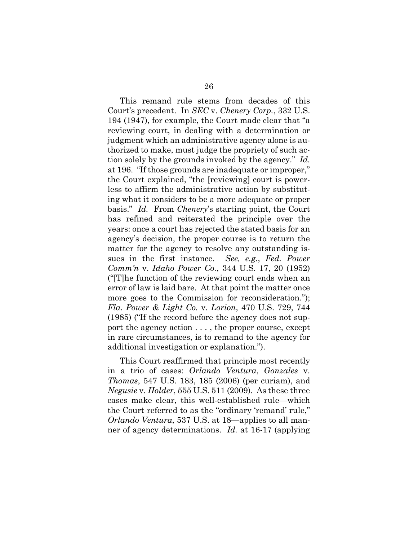<span id="page-34-4"></span>This remand rule stems from decades of this Court's precedent. In *SEC* v. *Chenery Corp.*, 332 U.S. 194 (1947), for example, the Court made clear that "a reviewing court, in dealing with a determination or judgment which an administrative agency alone is authorized to make, must judge the propriety of such action solely by the grounds invoked by the agency." *Id.* at 196. "If those grounds are inadequate or improper," the Court explained, "the [reviewing] court is powerless to affirm the administrative action by substituting what it considers to be a more adequate or proper basis." *Id.* From *Chenery*'s starting point, the Court has refined and reiterated the principle over the years: once a court has rejected the stated basis for an agency's decision, the proper course is to return the matter for the agency to resolve any outstanding issues in the first instance. *See, e.g.*, *Fed. Power Comm'n* v. *Idaho Power Co.*, 344 U.S. 17, 20 (1952) ("[T]he function of the reviewing court ends when an error of law is laid bare. At that point the matter once more goes to the Commission for reconsideration."); *Fla. Power & Light Co.* v. *Lorion*, 470 U.S. 729, 744 (1985) ("If the record before the agency does not support the agency action . . . , the proper course, except in rare circumstances, is to remand to the agency for additional investigation or explanation.").

<span id="page-34-3"></span><span id="page-34-2"></span><span id="page-34-1"></span><span id="page-34-0"></span>This Court reaffirmed that principle most recently in a trio of cases: *Orlando Ventura*, *Gonzales* v. *Thomas*, 547 U.S. 183, 185 (2006) (per curiam), and *Negusie* v. *Holder*, 555 U.S. 511 (2009). As these three cases make clear, this well-established rule—which the Court referred to as the "ordinary 'remand' rule," *Orlando Ventura*, 537 U.S. at 18—applies to all manner of agency determinations. *Id.* at 16-17 (applying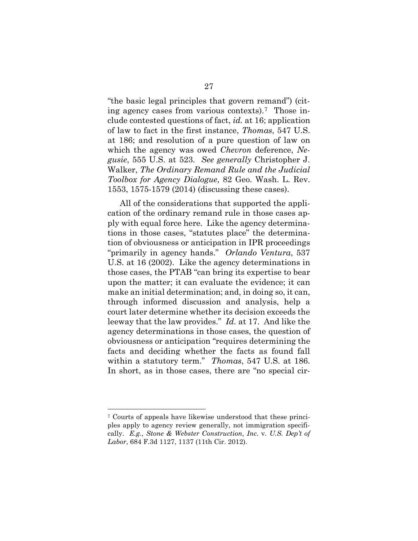<span id="page-35-1"></span><span id="page-35-0"></span>"the basic legal principles that govern remand") (citing agency cases from various contexts).[7](#page-35-4) Those include contested questions of fact, *id.* at 16; application of law to fact in the first instance, *Thomas*, 547 U.S. at 186; and resolution of a pure question of law on which the agency was owed *Chevron* deference, *Negusie*, 555 U.S. at 523. *See generally* Christopher J. Walker, *The Ordinary Remand Rule and the Judicial Toolbox for Agency Dialogue*, 82 Geo. Wash. L. Rev. 1553, 1575-1579 (2014) (discussing these cases).

<span id="page-35-3"></span>All of the considerations that supported the application of the ordinary remand rule in those cases apply with equal force here. Like the agency determinations in those cases, "statutes place" the determination of obviousness or anticipation in IPR proceedings "primarily in agency hands." *Orlando Ventura*, 537 U.S. at 16 (2002). Like the agency determinations in those cases, the PTAB "can bring its expertise to bear upon the matter; it can evaluate the evidence; it can make an initial determination; and, in doing so, it can, through informed discussion and analysis, help a court later determine whether its decision exceeds the leeway that the law provides." *Id.* at 17. And like the agency determinations in those cases, the question of obviousness or anticipation "requires determining the facts and deciding whether the facts as found fall within a statutory term." *Thomas*, 547 U.S. at 186. In short, as in those cases, there are "no special cir-

<span id="page-35-4"></span><span id="page-35-2"></span><sup>7</sup> Courts of appeals have likewise understood that these principles apply to agency review generally, not immigration specifically. *E.g.*, *Stone & Webster Construction, Inc.* v. *U.S. Dep't of Labor*, 684 F.3d 1127, 1137 (11th Cir. 2012).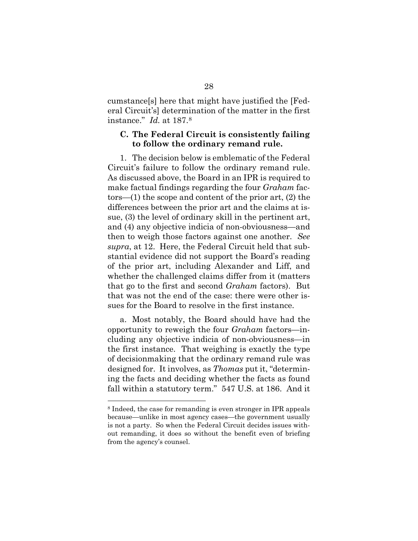cumstance[s] here that might have justified the [Federal Circuit's] determination of the matter in the first instance." *Id.* at 187[.8](#page-36-2)

#### <span id="page-36-1"></span><span id="page-36-0"></span>**C. The Federal Circuit is consistently failing to follow the ordinary remand rule.**

1. The decision below is emblematic of the Federal Circuit's failure to follow the ordinary remand rule. As discussed above, the Board in an IPR is required to make factual findings regarding the four *Graham* factors—(1) the scope and content of the prior art, (2) the differences between the prior art and the claims at issue, (3) the level of ordinary skill in the pertinent art, and (4) any objective indicia of non-obviousness—and then to weigh those factors against one another. *See supra*, at 12. Here, the Federal Circuit held that substantial evidence did not support the Board's reading of the prior art, including Alexander and Liff, and whether the challenged claims differ from it (matters that go to the first and second *Graham* factors). But that was not the end of the case: there were other issues for the Board to resolve in the first instance.

a. Most notably, the Board should have had the opportunity to reweigh the four *Graham* factors—including any objective indicia of non-obviousness—in the first instance. That weighing is exactly the type of decisionmaking that the ordinary remand rule was designed for. It involves, as *Thomas* put it, "determining the facts and deciding whether the facts as found fall within a statutory term." 547 U.S. at 186. And it

<span id="page-36-2"></span><sup>8</sup> Indeed, the case for remanding is even stronger in IPR appeals because—unlike in most agency cases—the government usually is not a party. So when the Federal Circuit decides issues without remanding, it does so without the benefit even of briefing from the agency's counsel.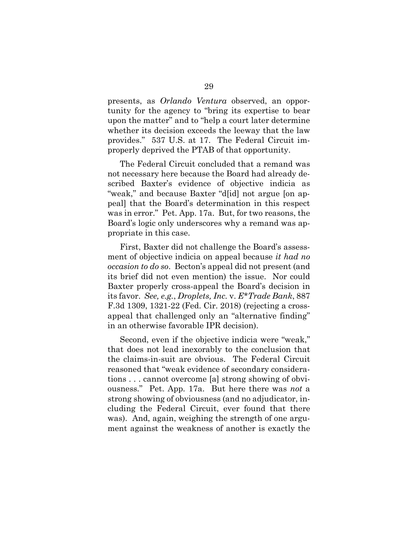presents, as *Orlando Ventura* observed, an opportunity for the agency to "bring its expertise to bear upon the matter" and to "help a court later determine whether its decision exceeds the leeway that the law provides." 537 U.S. at 17. The Federal Circuit improperly deprived the PTAB of that opportunity.

The Federal Circuit concluded that a remand was not necessary here because the Board had already described Baxter's evidence of objective indicia as "weak," and because Baxter "d[id] not argue [on appeal] that the Board's determination in this respect was in error." Pet. App. 17a. But, for two reasons, the Board's logic only underscores why a remand was appropriate in this case.

First, Baxter did not challenge the Board's assessment of objective indicia on appeal because *it had no occasion to do so*. Becton's appeal did not present (and its brief did not even mention) the issue. Nor could Baxter properly cross-appeal the Board's decision in its favor. *See, e.g.*, *Droplets, Inc.* v. *E\*Trade Bank*, 887 F.3d 1309, 1321-22 (Fed. Cir. 2018) (rejecting a crossappeal that challenged only an "alternative finding" in an otherwise favorable IPR decision).

<span id="page-37-0"></span>Second, even if the objective indicia were "weak," that does not lead inexorably to the conclusion that the claims-in-suit are obvious. The Federal Circuit reasoned that "weak evidence of secondary considerations . . . cannot overcome [a] strong showing of obviousness." Pet. App. 17a. But here there was *not* a strong showing of obviousness (and no adjudicator, including the Federal Circuit, ever found that there was). And, again, weighing the strength of one argument against the weakness of another is exactly the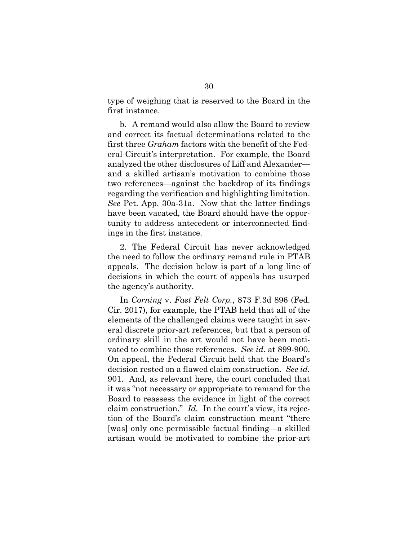type of weighing that is reserved to the Board in the first instance.

b. A remand would also allow the Board to review and correct its factual determinations related to the first three *Graham* factors with the benefit of the Federal Circuit's interpretation. For example, the Board analyzed the other disclosures of Liff and Alexander and a skilled artisan's motivation to combine those two references—against the backdrop of its findings regarding the verification and highlighting limitation. *See* Pet. App. 30a-31a. Now that the latter findings have been vacated, the Board should have the opportunity to address antecedent or interconnected findings in the first instance.

2. The Federal Circuit has never acknowledged the need to follow the ordinary remand rule in PTAB appeals. The decision below is part of a long line of decisions in which the court of appeals has usurped the agency's authority.

<span id="page-38-0"></span>In *Corning* v. *Fast Felt Corp.*, 873 F.3d 896 (Fed. Cir. 2017), for example, the PTAB held that all of the elements of the challenged claims were taught in several discrete prior-art references, but that a person of ordinary skill in the art would not have been motivated to combine those references. *See id.* at 899-900. On appeal, the Federal Circuit held that the Board's decision rested on a flawed claim construction. *See id.* 901. And, as relevant here, the court concluded that it was "not necessary or appropriate to remand for the Board to reassess the evidence in light of the correct claim construction." *Id.* In the court's view, its rejection of the Board's claim construction meant "there [was] only one permissible factual finding—a skilled artisan would be motivated to combine the prior-art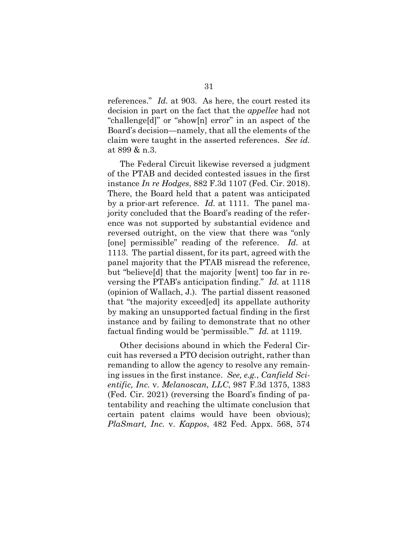<span id="page-39-1"></span>references." *Id.* at 903. As here, the court rested its decision in part on the fact that the *appellee* had not "challenge[d]" or "show[n] error" in an aspect of the Board's decision—namely, that all the elements of the claim were taught in the asserted references. *See id.* at 899 & n.3.

<span id="page-39-2"></span>The Federal Circuit likewise reversed a judgment of the PTAB and decided contested issues in the first instance *In re Hodges*, 882 F.3d 1107 (Fed. Cir. 2018). There, the Board held that a patent was anticipated by a prior-art reference. *Id.* at 1111. The panel majority concluded that the Board's reading of the reference was not supported by substantial evidence and reversed outright, on the view that there was "only [one] permissible" reading of the reference. *Id.* at 1113. The partial dissent, for its part, agreed with the panel majority that the PTAB misread the reference, but "believe[d] that the majority [went] too far in reversing the PTAB's anticipation finding." *Id.* at 1118 (opinion of Wallach, J.). The partial dissent reasoned that "the majority exceed[ed] its appellate authority by making an unsupported factual finding in the first instance and by failing to demonstrate that no other factual finding would be 'permissible.'" *Id.* at 1119.

<span id="page-39-3"></span><span id="page-39-0"></span>Other decisions abound in which the Federal Circuit has reversed a PTO decision outright, rather than remanding to allow the agency to resolve any remaining issues in the first instance. *See, e.g.*, *Canfield Scientific, Inc.* v. *Melanoscan, LLC*, 987 F.3d 1375, 1383 (Fed. Cir. 2021) (reversing the Board's finding of patentability and reaching the ultimate conclusion that certain patent claims would have been obvious); *PlaSmart, Inc.* v. *Kappos*, 482 Fed. Appx. 568, 574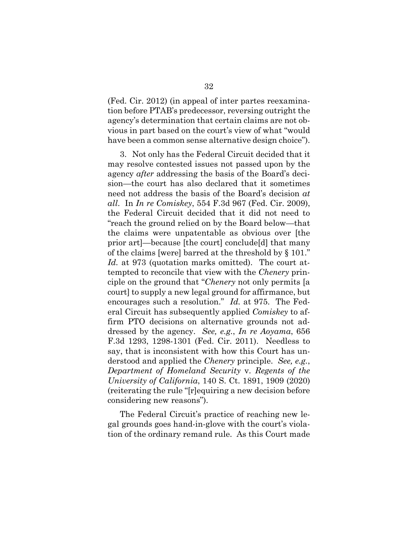(Fed. Cir. 2012) (in appeal of inter partes reexamination before PTAB's predecessor, reversing outright the agency's determination that certain claims are not obvious in part based on the court's view of what "would have been a common sense alternative design choice").

<span id="page-40-4"></span><span id="page-40-3"></span><span id="page-40-1"></span>3. Not only has the Federal Circuit decided that it may resolve contested issues not passed upon by the agency *after* addressing the basis of the Board's decision—the court has also declared that it sometimes need not address the basis of the Board's decision *at all*. In *In re Comiskey*, 554 F.3d 967 (Fed. Cir. 2009), the Federal Circuit decided that it did not need to "reach the ground relied on by the Board below—that the claims were unpatentable as obvious over [the prior art]—because [the court] conclude[d] that many of the claims [were] barred at the threshold by § 101." *Id.* at 973 (quotation marks omitted). The court attempted to reconcile that view with the *Chenery* principle on the ground that "*Chenery* not only permits [a court] to supply a new legal ground for affirmance, but encourages such a resolution." *Id.* at 975. The Federal Circuit has subsequently applied *Comiskey* to affirm PTO decisions on alternative grounds not addressed by the agency. *See, e.g.*, *In re Aoyama*, 656 F.3d 1293, 1298-1301 (Fed. Cir. 2011). Needless to say, that is inconsistent with how this Court has understood and applied the *Chenery* principle. *See, e.g.*, *Department of Homeland Security* v. *Regents of the University of California*, 140 S. Ct. 1891, 1909 (2020) (reiterating the rule "[r]equiring a new decision before considering new reasons").

<span id="page-40-2"></span><span id="page-40-0"></span>The Federal Circuit's practice of reaching new legal grounds goes hand-in-glove with the court's violation of the ordinary remand rule. As this Court made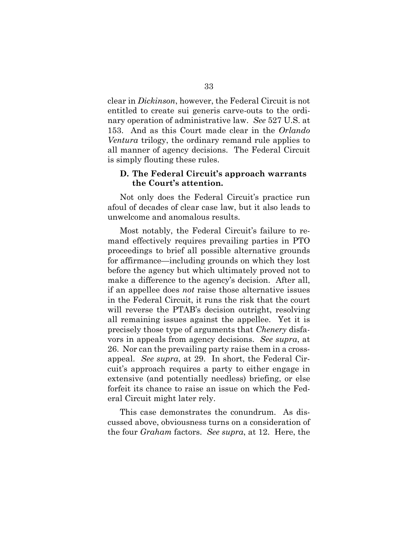<span id="page-41-1"></span>clear in *Dickinson*, however, the Federal Circuit is not entitled to create sui generis carve-outs to the ordinary operation of administrative law. *See* 527 U.S. at 153. And as this Court made clear in the *Orlando Ventura* trilogy, the ordinary remand rule applies to all manner of agency decisions. The Federal Circuit is simply flouting these rules.

### <span id="page-41-0"></span>**D. The Federal Circuit's approach warrants the Court's attention.**

Not only does the Federal Circuit's practice run afoul of decades of clear case law, but it also leads to unwelcome and anomalous results.

Most notably, the Federal Circuit's failure to remand effectively requires prevailing parties in PTO proceedings to brief all possible alternative grounds for affirmance—including grounds on which they lost before the agency but which ultimately proved not to make a difference to the agency's decision. After all, if an appellee does *not* raise those alternative issues in the Federal Circuit, it runs the risk that the court will reverse the PTAB's decision outright, resolving all remaining issues against the appellee. Yet it is precisely those type of arguments that *Chenery* disfavors in appeals from agency decisions. *See supra*, at 26. Nor can the prevailing party raise them in a crossappeal. *See supra*, at 29. In short, the Federal Circuit's approach requires a party to either engage in extensive (and potentially needless) briefing, or else forfeit its chance to raise an issue on which the Federal Circuit might later rely.

<span id="page-41-2"></span>This case demonstrates the conundrum. As discussed above, obviousness turns on a consideration of the four *Graham* factors. *See supra*, at 12. Here, the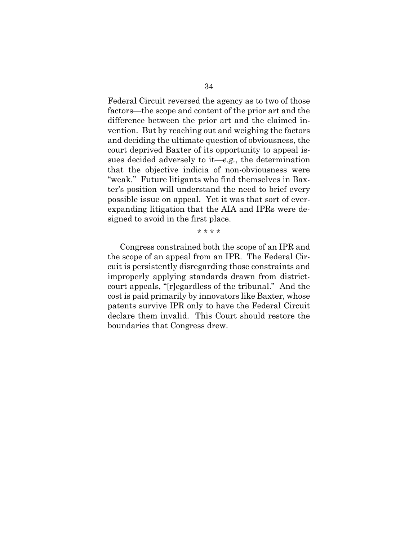Federal Circuit reversed the agency as to two of those factors—the scope and content of the prior art and the difference between the prior art and the claimed invention. But by reaching out and weighing the factors and deciding the ultimate question of obviousness, the court deprived Baxter of its opportunity to appeal issues decided adversely to it—*e.g.*, the determination that the objective indicia of non-obviousness were "weak." Future litigants who find themselves in Baxter's position will understand the need to brief every possible issue on appeal. Yet it was that sort of everexpanding litigation that the AIA and IPRs were designed to avoid in the first place.

\* \* \* \*

Congress constrained both the scope of an IPR and the scope of an appeal from an IPR. The Federal Circuit is persistently disregarding those constraints and improperly applying standards drawn from districtcourt appeals, "[r]egardless of the tribunal." And the cost is paid primarily by innovators like Baxter, whose patents survive IPR only to have the Federal Circuit declare them invalid. This Court should restore the boundaries that Congress drew.